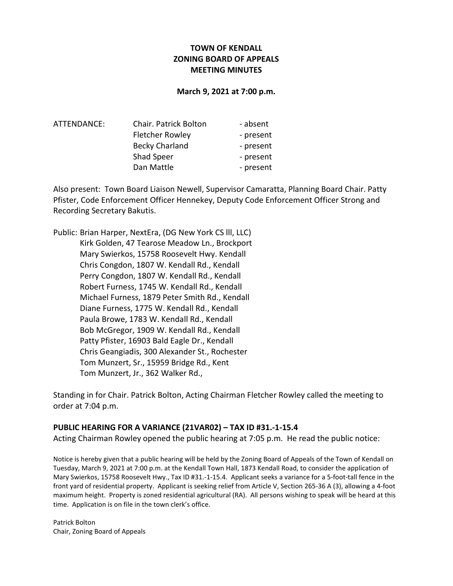## TOWN OF KENDALL ZONING BOARD OF APPEALS MEETING MINUTES

#### March 9, 2021 at 7:00 p.m.

| Chair. Patrick Bolton  | - absent  |
|------------------------|-----------|
| <b>Fletcher Rowley</b> | - present |
| <b>Becky Charland</b>  | - present |
| Shad Speer             | - present |
| Dan Mattle             | - present |
|                        |           |

Also present: Town Board Liaison Newell, Supervisor Camaratta, Planning Board Chair. Patty Pfister, Code Enforcement Officer Hennekey, Deputy Code Enforcement Officer Strong and Recording Secretary Bakutis.

Public: Brian Harper, NextEra, (DG New York CS lll, LLC) Kirk Golden, 47 Tearose Meadow Ln., Brockport Mary Swierkos, 15758 Roosevelt Hwy. Kendall Chris Congdon, 1807 W. Kendall Rd., Kendall Perry Congdon, 1807 W. Kendall Rd., Kendall Robert Furness, 1745 W. Kendall Rd., Kendall Michael Furness, 1879 Peter Smith Rd., Kendall Diane Furness, 1775 W. Kendall Rd., Kendall Paula Browe, 1783 W. Kendall Rd., Kendall Bob McGregor, 1909 W. Kendall Rd., Kendall Patty Pfister, 16903 Bald Eagle Dr., Kendall Chris Geangiadis, 300 Alexander St., Rochester Tom Munzert, Sr., 15959 Bridge Rd., Kent Tom Munzert, Jr., 362 Walker Rd.,

Standing in for Chair. Patrick Bolton, Acting Chairman Fletcher Rowley called the meeting to order at 7:04 p.m.

### PUBLIC HEARING FOR A VARIANCE (21VAR02) – TAX ID #31.-1-15.4

Acting Chairman Rowley opened the public hearing at 7:05 p.m. He read the public notice:

Notice is hereby given that a public hearing will be held by the Zoning Board of Appeals of the Town of Kendall on Tuesday, March 9, 2021 at 7:00 p.m. at the Kendall Town Hall, 1873 Kendall Road, to consider the application of Mary Swierkos, 15758 Roosevelt Hwy., Tax ID #31.-1-15.4. Applicant seeks a variance for a 5-foot-tall fence in the front yard of residential property. Applicant is seeking relief from Article V, Section 265-36 A (3), allowing a 4-foot maximum height. Property is zoned residential agricultural (RA). All persons wishing to speak will be heard at this time. Application is on file in the town clerk's office.

Patrick Bolton Chair, Zoning Board of Appeals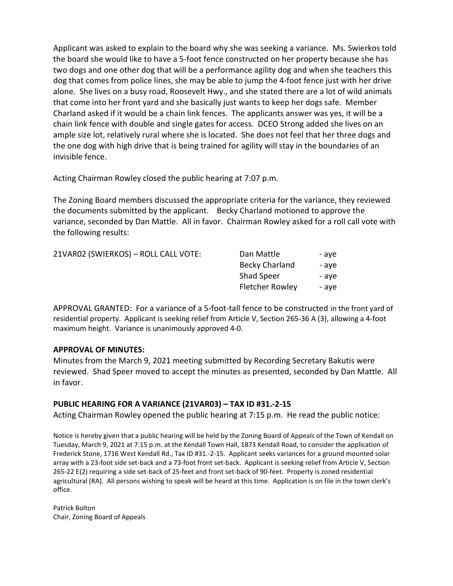Applicant was asked to explain to the board why she was seeking a variance. Ms. Swierkos told the board she would like to have a 5-foot fence constructed on her property because she has two dogs and one other dog that will be a performance agility dog and when she teachers this dog that comes from police lines, she may be able to jump the 4-foot fence just with her drive alone. She lives on a busy road, Roosevelt Hwy., and she stated there are a lot of wild animals that come into her front yard and she basically just wants to keep her dogs safe. Member Charland asked if it would be a chain link fences. The applicants answer was yes, it will be a chain link fence with double and single gates for access. DCEO Strong added she lives on an ample size lot, relatively rural where she is located. She does not feel that her three dogs and the one dog with high drive that is being trained for agility will stay in the boundaries of an invisible fence.

Acting Chairman Rowley closed the public hearing at 7:07 p.m.

The Zoning Board members discussed the appropriate criteria for the variance, they reviewed the documents submitted by the applicant. Becky Charland motioned to approve the variance, seconded by Dan Mattle. All in favor. Chairman Rowley asked for a roll call vote with the following results:

| 21VAR02 (SWIERKOS) - ROLL CALL VOTE: | Dan Mattle             | - ave |
|--------------------------------------|------------------------|-------|
|                                      | <b>Becky Charland</b>  | - ave |
|                                      | <b>Shad Speer</b>      | - ave |
|                                      | <b>Fletcher Rowley</b> | - ave |
|                                      |                        |       |

APPROVAL GRANTED: For a variance of a 5-foot-tall fence to be constructed in the front yard of residential property. Applicant is seeking relief from Article V, Section 265-36 A (3), allowing a 4-foot maximum height. Variance is unanimously approved 4-0.

## APPROVAL OF MINUTES:

Minutes from the March 9, 2021 meeting submitted by Recording Secretary Bakutis were reviewed. Shad Speer moved to accept the minutes as presented, seconded by Dan Mattle. All in favor.

## PUBLIC HEARING FOR A VARIANCE (21VAR03) – TAX ID #31.-2-15

Acting Chairman Rowley opened the public hearing at 7:15 p.m. He read the public notice:

Notice is hereby given that a public hearing will be held by the Zoning Board of Appeals of the Town of Kendall on Tuesday, March 9, 2021 at 7:15 p.m. at the Kendall Town Hall, 1873 Kendall Road, to consider the application of Frederick Stone, 1716 West Kendall Rd., Tax ID #31.-2-15. Applicant seeks variances for a ground mounted solar array with a 23-foot side set-back and a 73-foot front set-back. Applicant is seeking relief from Article V, Section 265-22 E(2) requiring a side set-back of 25-feet and front set-back of 90-feet. Property is zoned residential agricultural (RA). All persons wishing to speak will be heard at this time. Application is on file in the town clerk's office.

Patrick Bolton Chair, Zoning Board of Appeals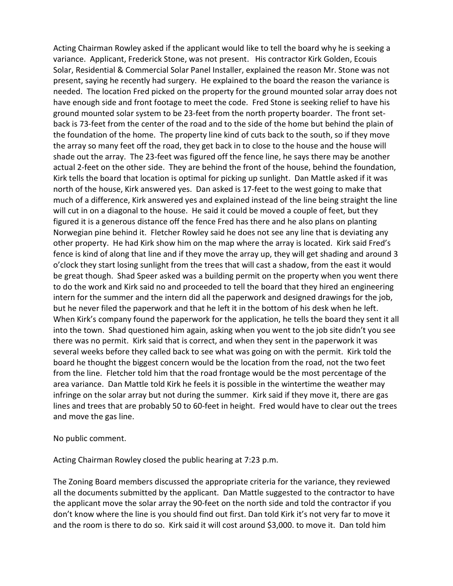Acting Chairman Rowley asked if the applicant would like to tell the board why he is seeking a variance. Applicant, Frederick Stone, was not present. His contractor Kirk Golden, Ecouis Solar, Residential & Commercial Solar Panel Installer, explained the reason Mr. Stone was not present, saying he recently had surgery. He explained to the board the reason the variance is needed. The location Fred picked on the property for the ground mounted solar array does not have enough side and front footage to meet the code. Fred Stone is seeking relief to have his ground mounted solar system to be 23-feet from the north property boarder. The front setback is 73-feet from the center of the road and to the side of the home but behind the plain of the foundation of the home. The property line kind of cuts back to the south, so if they move the array so many feet off the road, they get back in to close to the house and the house will shade out the array. The 23-feet was figured off the fence line, he says there may be another actual 2-feet on the other side. They are behind the front of the house, behind the foundation, Kirk tells the board that location is optimal for picking up sunlight. Dan Mattle asked if it was north of the house, Kirk answered yes. Dan asked is 17-feet to the west going to make that much of a difference, Kirk answered yes and explained instead of the line being straight the line will cut in on a diagonal to the house. He said it could be moved a couple of feet, but they figured it is a generous distance off the fence Fred has there and he also plans on planting Norwegian pine behind it. Fletcher Rowley said he does not see any line that is deviating any other property. He had Kirk show him on the map where the array is located. Kirk said Fred's fence is kind of along that line and if they move the array up, they will get shading and around 3 o'clock they start losing sunlight from the trees that will cast a shadow, from the east it would be great though. Shad Speer asked was a building permit on the property when you went there to do the work and Kirk said no and proceeded to tell the board that they hired an engineering intern for the summer and the intern did all the paperwork and designed drawings for the job, but he never filed the paperwork and that he left it in the bottom of his desk when he left. When Kirk's company found the paperwork for the application, he tells the board they sent it all into the town. Shad questioned him again, asking when you went to the job site didn't you see there was no permit. Kirk said that is correct, and when they sent in the paperwork it was several weeks before they called back to see what was going on with the permit. Kirk told the board he thought the biggest concern would be the location from the road, not the two feet from the line. Fletcher told him that the road frontage would be the most percentage of the area variance. Dan Mattle told Kirk he feels it is possible in the wintertime the weather may infringe on the solar array but not during the summer. Kirk said if they move it, there are gas lines and trees that are probably 50 to 60-feet in height. Fred would have to clear out the trees and move the gas line.

### No public comment.

Acting Chairman Rowley closed the public hearing at 7:23 p.m.

The Zoning Board members discussed the appropriate criteria for the variance, they reviewed all the documents submitted by the applicant. Dan Mattle suggested to the contractor to have the applicant move the solar array the 90-feet on the north side and told the contractor if you don't know where the line is you should find out first. Dan told Kirk it's not very far to move it and the room is there to do so. Kirk said it will cost around \$3,000. to move it. Dan told him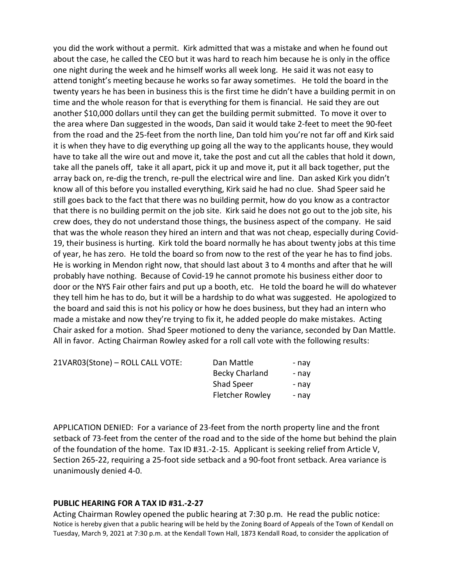you did the work without a permit. Kirk admitted that was a mistake and when he found out about the case, he called the CEO but it was hard to reach him because he is only in the office one night during the week and he himself works all week long. He said it was not easy to attend tonight's meeting because he works so far away sometimes. He told the board in the twenty years he has been in business this is the first time he didn't have a building permit in on time and the whole reason for that is everything for them is financial. He said they are out another \$10,000 dollars until they can get the building permit submitted. To move it over to the area where Dan suggested in the woods, Dan said it would take 2-feet to meet the 90-feet from the road and the 25-feet from the north line, Dan told him you're not far off and Kirk said it is when they have to dig everything up going all the way to the applicants house, they would have to take all the wire out and move it, take the post and cut all the cables that hold it down, take all the panels off, take it all apart, pick it up and move it, put it all back together, put the array back on, re-dig the trench, re-pull the electrical wire and line. Dan asked Kirk you didn't know all of this before you installed everything, Kirk said he had no clue. Shad Speer said he still goes back to the fact that there was no building permit, how do you know as a contractor that there is no building permit on the job site. Kirk said he does not go out to the job site, his crew does, they do not understand those things, the business aspect of the company. He said that was the whole reason they hired an intern and that was not cheap, especially during Covid-19, their business is hurting. Kirk told the board normally he has about twenty jobs at this time of year, he has zero. He told the board so from now to the rest of the year he has to find jobs. He is working in Mendon right now, that should last about 3 to 4 months and after that he will probably have nothing. Because of Covid-19 he cannot promote his business either door to door or the NYS Fair other fairs and put up a booth, etc. He told the board he will do whatever they tell him he has to do, but it will be a hardship to do what was suggested. He apologized to the board and said this is not his policy or how he does business, but they had an intern who made a mistake and now they're trying to fix it, he added people do make mistakes. Acting Chair asked for a motion. Shad Speer motioned to deny the variance, seconded by Dan Mattle. All in favor. Acting Chairman Rowley asked for a roll call vote with the following results:

21VAR03(Stone) – ROLL CALL VOTE: Dan Mattle - nay Becky Charland - nay Shad Speer - nay Fletcher Rowley - nay

APPLICATION DENIED: For a variance of 23-feet from the north property line and the front setback of 73-feet from the center of the road and to the side of the home but behind the plain of the foundation of the home. Tax ID #31.-2-15. Applicant is seeking relief from Article V, Section 265-22, requiring a 25-foot side setback and a 90-foot front setback. Area variance is unanimously denied 4-0.

### PUBLIC HEARING FOR A TAX ID #31.-2-27

Acting Chairman Rowley opened the public hearing at 7:30 p.m. He read the public notice: Notice is hereby given that a public hearing will be held by the Zoning Board of Appeals of the Town of Kendall on Tuesday, March 9, 2021 at 7:30 p.m. at the Kendall Town Hall, 1873 Kendall Road, to consider the application of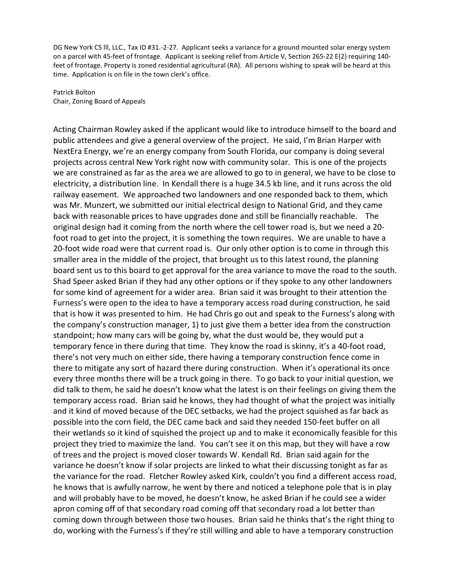DG New York CS lll, LLC., Tax ID #31.-2-27. Applicant seeks a variance for a ground mounted solar energy system on a parcel with 45-feet of frontage. Applicant is seeking relief from Article V, Section 265-22 E(2) requiring 140 feet of frontage. Property is zoned residential agricultural (RA). All persons wishing to speak will be heard at this time. Application is on file in the town clerk's office.

Patrick Bolton Chair, Zoning Board of Appeals

Acting Chairman Rowley asked if the applicant would like to introduce himself to the board and public attendees and give a general overview of the project. He said, I'm Brian Harper with NextEra Energy, we're an energy company from South Florida, our company is doing several projects across central New York right now with community solar. This is one of the projects we are constrained as far as the area we are allowed to go to in general, we have to be close to electricity, a distribution line. In Kendall there is a huge 34.5 kb line, and it runs across the old railway easement. We approached two landowners and one responded back to them, which was Mr. Munzert, we submitted our initial electrical design to National Grid, and they came back with reasonable prices to have upgrades done and still be financially reachable. The original design had it coming from the north where the cell tower road is, but we need a 20 foot road to get into the project, it is something the town requires. We are unable to have a 20-foot wide road were that current road is. Our only other option is to come in through this smaller area in the middle of the project, that brought us to this latest round, the planning board sent us to this board to get approval for the area variance to move the road to the south. Shad Speer asked Brian if they had any other options or if they spoke to any other landowners for some kind of agreement for a wider area. Brian said it was brought to their attention the Furness's were open to the idea to have a temporary access road during construction, he said that is how it was presented to him. He had Chris go out and speak to the Furness's along with the company's construction manager, 1) to just give them a better idea from the construction standpoint; how many cars will be going by, what the dust would be, they would put a temporary fence in there during that time. They know the road is skinny, it's a 40-foot road, there's not very much on either side, there having a temporary construction fence come in there to mitigate any sort of hazard there during construction. When it's operational its once every three months there will be a truck going in there. To go back to your initial question, we did talk to them, he said he doesn't know what the latest is on their feelings on giving them the temporary access road. Brian said he knows, they had thought of what the project was initially and it kind of moved because of the DEC setbacks, we had the project squished as far back as possible into the corn field, the DEC came back and said they needed 150-feet buffer on all their wetlands so it kind of squished the project up and to make it economically feasible for this project they tried to maximize the land. You can't see it on this map, but they will have a row of trees and the project is moved closer towards W. Kendall Rd. Brian said again for the variance he doesn't know if solar projects are linked to what their discussing tonight as far as the variance for the road. Fletcher Rowley asked Kirk, couldn't you find a different access road, he knows that is awfully narrow, he went by there and noticed a telephone pole that is in play and will probably have to be moved, he doesn't know, he asked Brian if he could see a wider apron coming off of that secondary road coming off that secondary road a lot better than coming down through between those two houses. Brian said he thinks that's the right thing to do, working with the Furness's if they're still willing and able to have a temporary construction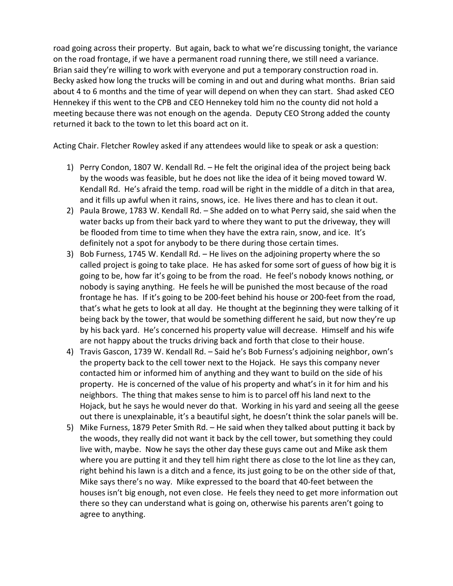road going across their property. But again, back to what we're discussing tonight, the variance on the road frontage, if we have a permanent road running there, we still need a variance. Brian said they're willing to work with everyone and put a temporary construction road in. Becky asked how long the trucks will be coming in and out and during what months. Brian said about 4 to 6 months and the time of year will depend on when they can start. Shad asked CEO Hennekey if this went to the CPB and CEO Hennekey told him no the county did not hold a meeting because there was not enough on the agenda. Deputy CEO Strong added the county returned it back to the town to let this board act on it.

Acting Chair. Fletcher Rowley asked if any attendees would like to speak or ask a question:

- 1) Perry Condon, 1807 W. Kendall Rd. He felt the original idea of the project being back by the woods was feasible, but he does not like the idea of it being moved toward W. Kendall Rd. He's afraid the temp. road will be right in the middle of a ditch in that area, and it fills up awful when it rains, snows, ice. He lives there and has to clean it out.
- 2) Paula Browe, 1783 W. Kendall Rd. She added on to what Perry said, she said when the water backs up from their back yard to where they want to put the driveway, they will be flooded from time to time when they have the extra rain, snow, and ice. It's definitely not a spot for anybody to be there during those certain times.
- 3) Bob Furness, 1745 W. Kendall Rd. He lives on the adjoining property where the so called project is going to take place. He has asked for some sort of guess of how big it is going to be, how far it's going to be from the road. He feel's nobody knows nothing, or nobody is saying anything. He feels he will be punished the most because of the road frontage he has. If it's going to be 200-feet behind his house or 200-feet from the road, that's what he gets to look at all day. He thought at the beginning they were talking of it being back by the tower, that would be something different he said, but now they're up by his back yard. He's concerned his property value will decrease. Himself and his wife are not happy about the trucks driving back and forth that close to their house.
- 4) Travis Gascon, 1739 W. Kendall Rd. Said he's Bob Furness's adjoining neighbor, own's the property back to the cell tower next to the Hojack. He says this company never contacted him or informed him of anything and they want to build on the side of his property. He is concerned of the value of his property and what's in it for him and his neighbors. The thing that makes sense to him is to parcel off his land next to the Hojack, but he says he would never do that. Working in his yard and seeing all the geese out there is unexplainable, it's a beautiful sight, he doesn't think the solar panels will be.
- 5) Mike Furness, 1879 Peter Smith Rd. He said when they talked about putting it back by the woods, they really did not want it back by the cell tower, but something they could live with, maybe. Now he says the other day these guys came out and Mike ask them where you are putting it and they tell him right there as close to the lot line as they can, right behind his lawn is a ditch and a fence, its just going to be on the other side of that, Mike says there's no way. Mike expressed to the board that 40-feet between the houses isn't big enough, not even close. He feels they need to get more information out there so they can understand what is going on, otherwise his parents aren't going to agree to anything.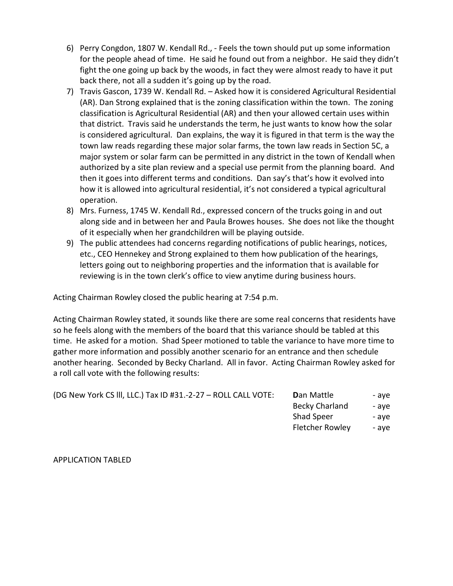- 6) Perry Congdon, 1807 W. Kendall Rd., Feels the town should put up some information for the people ahead of time. He said he found out from a neighbor. He said they didn't fight the one going up back by the woods, in fact they were almost ready to have it put back there, not all a sudden it's going up by the road.
- 7) Travis Gascon, 1739 W. Kendall Rd. Asked how it is considered Agricultural Residential (AR). Dan Strong explained that is the zoning classification within the town. The zoning classification is Agricultural Residential (AR) and then your allowed certain uses within that district. Travis said he understands the term, he just wants to know how the solar is considered agricultural. Dan explains, the way it is figured in that term is the way the town law reads regarding these major solar farms, the town law reads in Section 5C, a major system or solar farm can be permitted in any district in the town of Kendall when authorized by a site plan review and a special use permit from the planning board. And then it goes into different terms and conditions. Dan say's that's how it evolved into how it is allowed into agricultural residential, it's not considered a typical agricultural operation.
- 8) Mrs. Furness, 1745 W. Kendall Rd., expressed concern of the trucks going in and out along side and in between her and Paula Browes houses. She does not like the thought of it especially when her grandchildren will be playing outside.
- 9) The public attendees had concerns regarding notifications of public hearings, notices, etc., CEO Hennekey and Strong explained to them how publication of the hearings, letters going out to neighboring properties and the information that is available for reviewing is in the town clerk's office to view anytime during business hours.

Acting Chairman Rowley closed the public hearing at 7:54 p.m.

Acting Chairman Rowley stated, it sounds like there are some real concerns that residents have so he feels along with the members of the board that this variance should be tabled at this time. He asked for a motion. Shad Speer motioned to table the variance to have more time to gather more information and possibly another scenario for an entrance and then schedule another hearing. Seconded by Becky Charland. All in favor. Acting Chairman Rowley asked for a roll call vote with the following results:

| (DG New York CS III, LLC.) Tax ID #31.-2-27 - ROLL CALL VOTE: | <b>D</b> an Mattle     | - ave |
|---------------------------------------------------------------|------------------------|-------|
|                                                               | Becky Charland         | - ave |
|                                                               | <b>Shad Speer</b>      | - ave |
|                                                               | <b>Fletcher Rowley</b> | - ave |

APPLICATION TABLED